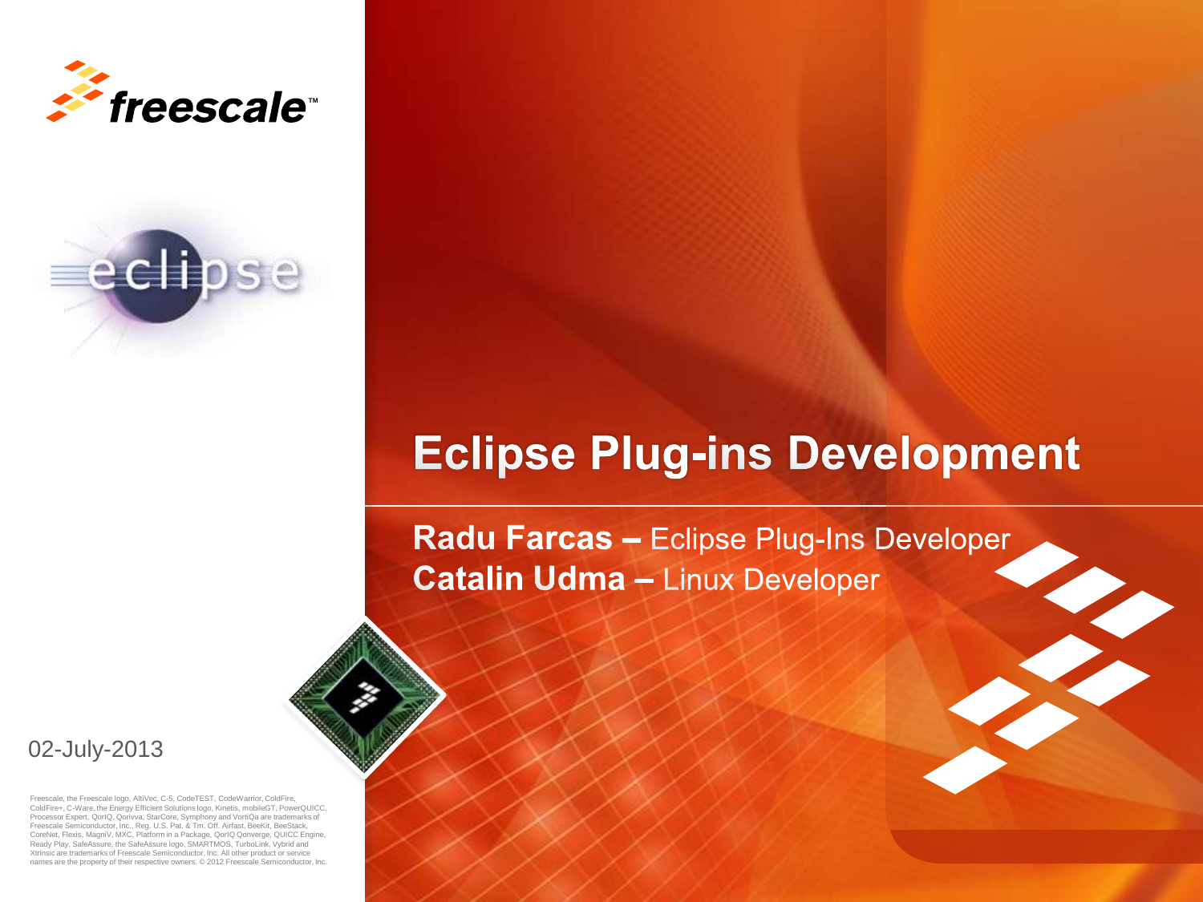



### **Eclipse Plug-ins Development**

Radu Farcas - Eclipse Plug-Ins Developer **Catalin Udma - Linux Developer** 

02-July-2013

Freescale, the Freescale logo, AltiVec, C-5, CodeTEST, CodeWarrior, ColdFire, ColdFire+, C-Ware, the Energy Efficient Solutions logo, Kinetis, mobileGT, PowerQUICC, Processor Expert, QorIQ, Qorivva, StarCore, Symphony and VortiQa are trademarks of Freescale Semiconductor, Inc., Reg. U.S. Pat. & Tm. Off. Airfast, BeeKit, BeeStack, CoreNet, Flexis, MagniV, MXC, Platform in a Package, QorIQ Qonverge, QUICC Engine, Ready Play, SafeAssure, the SafeAssure logo, SMARTMOS, TurboLink, Vybrid and Xtrinsic are trademarks of Freescale Semiconductor, Inc. All other product or service names are the property of their respective owners. © 2012 Freescale Semiconductor, Inc.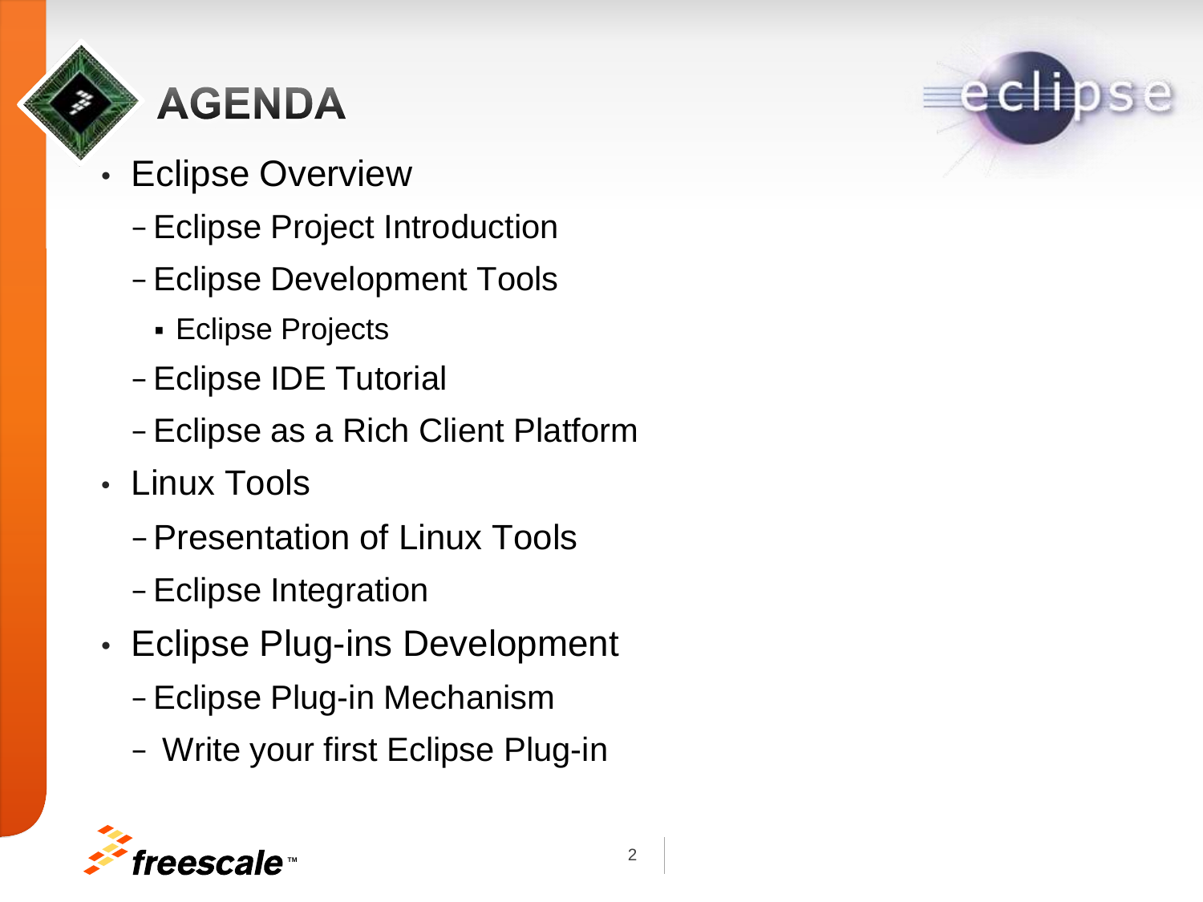# **AGENDA**

- **Eclipse Overview** 
	- − Eclipse Project Introduction
	- − Eclipse Development Tools
		- **Eclipse Projects**
	- − Eclipse IDE Tutorial
	- − Eclipse as a Rich Client Platform
- Linux Tools
	- − Presentation of Linux Tools
	- − Eclipse Integration
- Eclipse Plug-ins Development
	- − Eclipse Plug-in Mechanism
	- − Write your first Eclipse Plug-in

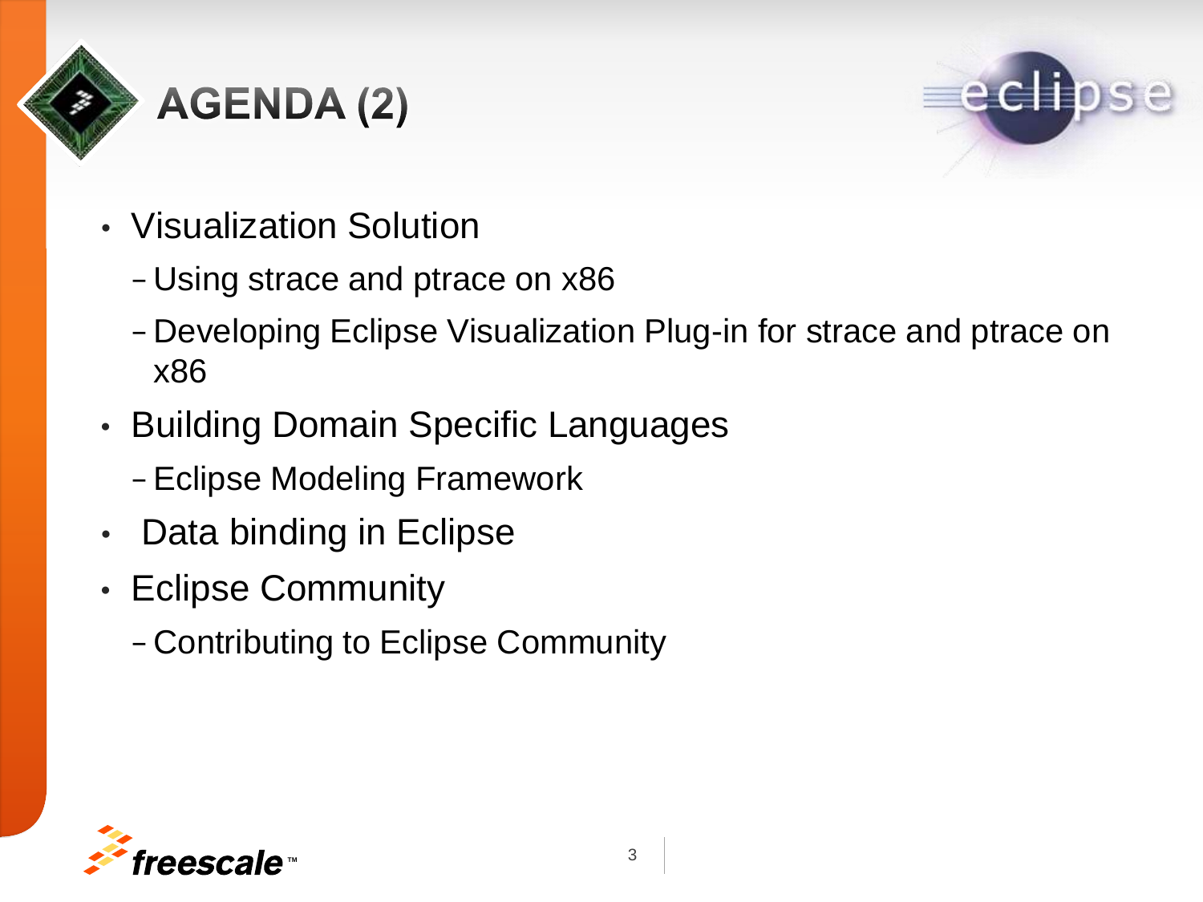

# **AGENDA(2)**



- Visualization Solution
	- − Using strace and ptrace on x86
	- − Developing Eclipse Visualization Plug-in for strace and ptrace on x86
- Building Domain Specific Languages
	- − Eclipse Modeling Framework
- Data binding in Eclipse
- Eclipse Community
	- − Contributing to Eclipse Community

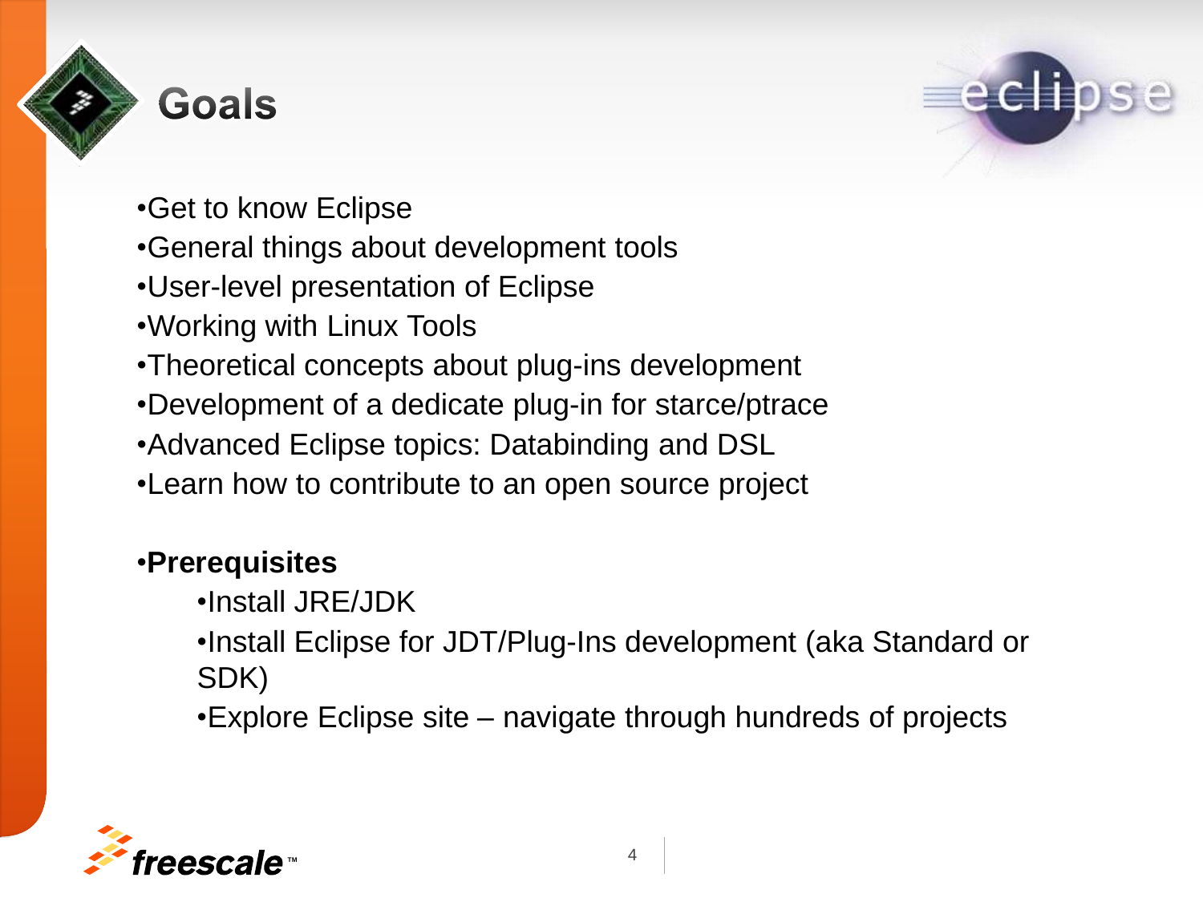

### **Goals**



- •Get to know Eclipse
- •General things about development tools
- •User-level presentation of Eclipse
- •Working with Linux Tools
- •Theoretical concepts about plug-ins development
- •Development of a dedicate plug-in for starce/ptrace
- •Advanced Eclipse topics: Databinding and DSL
- •Learn how to contribute to an open source project

#### •**Prerequisites**

- •Install JRE/JDK
- •Install Eclipse for JDT/Plug-Ins development (aka Standard or SDK)
- •Explore Eclipse site navigate through hundreds of projects

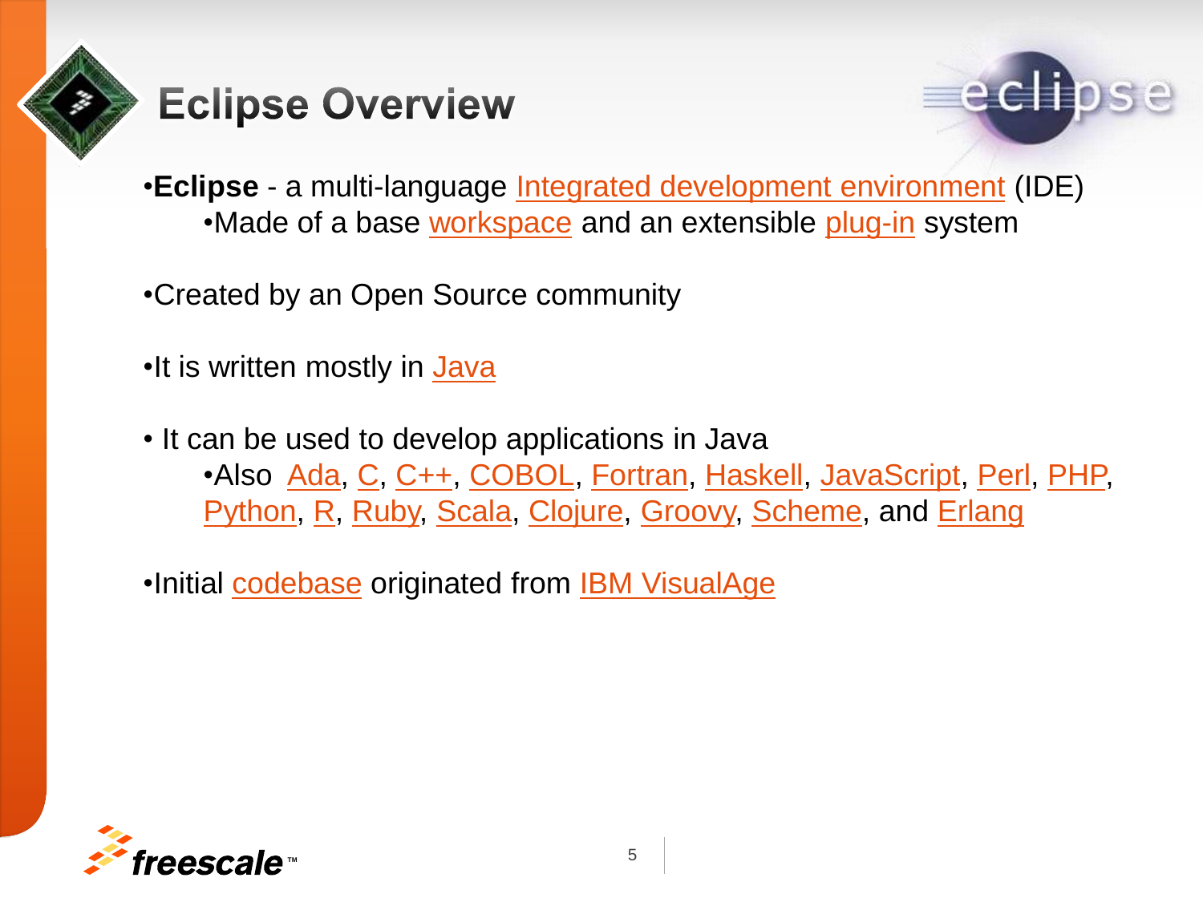

### **Eclipse Overview**



•**Eclipse** - a multi-language [Integrated development environment](http://en.wikipedia.org/wiki/Integrated_development_environment) (IDE) •Made of a base [workspace](http://en.wikipedia.org/wiki/Workspace) and an extensible [plug-in](http://en.wikipedia.org/wiki/Plug-in_(computing)) system

•Created by an Open Source community

- •It is written mostly in [Java](http://en.wikipedia.org/wiki/Java_(programming_language))
- It can be used to develop applications in Java •Also [Ada,](http://en.wikipedia.org/wiki/Ada_(programming_language)) [C,](http://en.wikipedia.org/wiki/C_(programming_language)) [C++,](http://en.wikipedia.org/wiki/C++) [COBOL,](http://en.wikipedia.org/wiki/COBOL) [Fortran,](http://en.wikipedia.org/wiki/Fortran) [Haskell,](http://en.wikipedia.org/wiki/Haskell_(programming_language)) [JavaScript,](http://en.wikipedia.org/wiki/JavaScript) [Perl,](http://en.wikipedia.org/wiki/Perl) [PHP,](http://en.wikipedia.org/wiki/PHP) [Python](http://en.wikipedia.org/wiki/Python_(programming_language)), [R,](http://en.wikipedia.org/wiki/R_(programming_language)) [Ruby](http://en.wikipedia.org/wiki/Ruby_(programming_language)), [Scala](http://en.wikipedia.org/wiki/Scala_(programming_language)), [Clojure](http://en.wikipedia.org/wiki/Clojure), [Groovy,](http://en.wikipedia.org/wiki/Groovy_(programming_language)) [Scheme,](http://en.wikipedia.org/wiki/Scheme_(programming_language)) and [Erlang](http://en.wikipedia.org/wiki/Erlang_(programming_language))

•Initial [codebase](http://en.wikipedia.org/wiki/Codebase) originated from [IBM VisualAge](http://en.wikipedia.org/wiki/IBM_VisualAge)

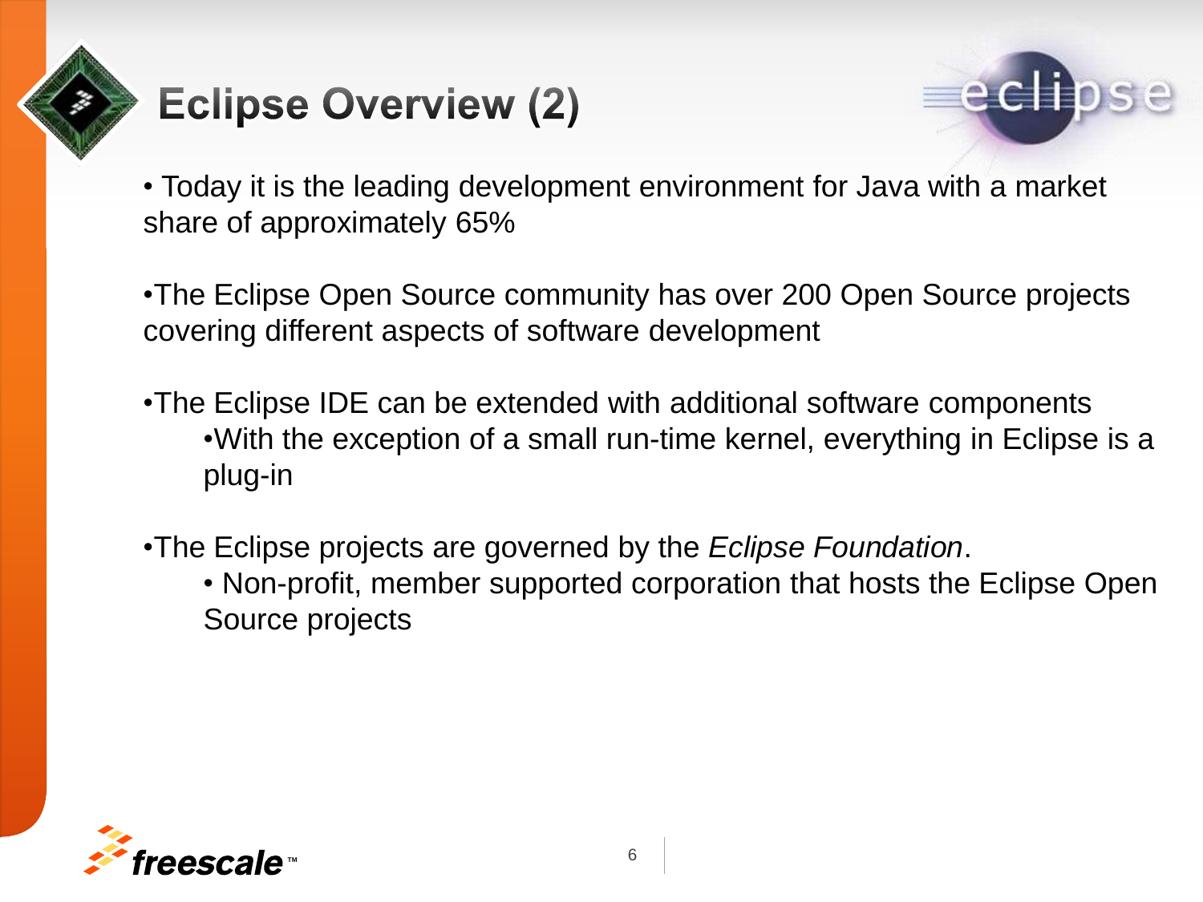# **Eclipse Overview (2)**



• Today it is the leading development environment for Java with a market share of approximately 65%

•The Eclipse Open Source community has over 200 Open Source projects covering different aspects of software development

- •The Eclipse IDE can be extended with additional software components •With the exception of a small run-time kernel, everything in Eclipse is a plug-in
- •The Eclipse projects are governed by the *Eclipse Foundation*.
	- Non-profit, member supported corporation that hosts the Eclipse Open Source projects

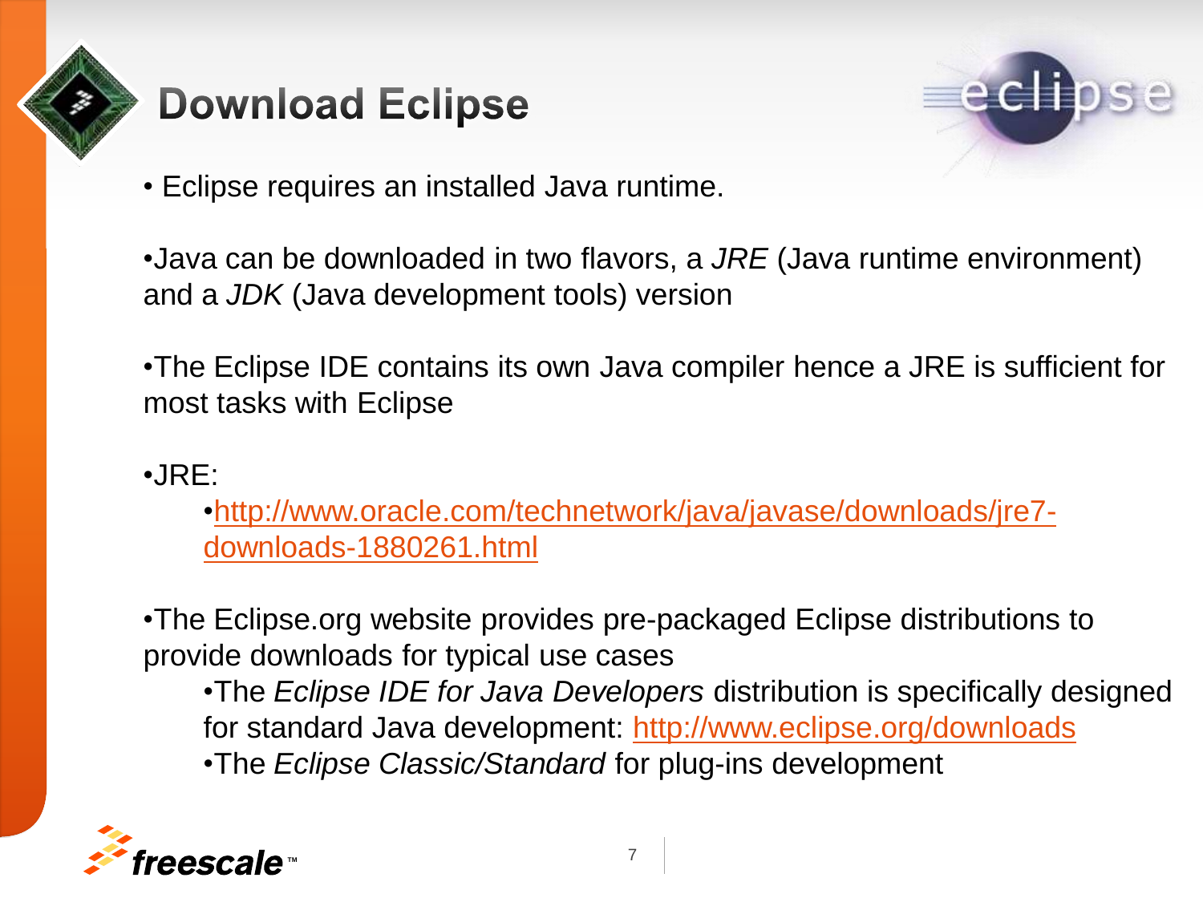

### **Download Eclipse**



- Eclipse requires an installed Java runtime.
- •Java can be downloaded in two flavors, a *JRE* (Java runtime environment) and a *JDK* (Java development tools) version
- •The Eclipse IDE contains its own Java compiler hence a JRE is sufficient for most tasks with Eclipse
- •JRE:

[•http://www.oracle.com/technetwork/java/javase/downloads/jre7](http://www.oracle.com/technetwork/java/javase/downloads/jre7-downloads-1880261.html) [downloads-1880261.html](http://www.oracle.com/technetwork/java/javase/downloads/jre7-downloads-1880261.html)

•The Eclipse.org website provides pre-packaged Eclipse distributions to provide downloads for typical use cases

•The *Eclipse IDE for Java Developers* distribution is specifically designed for standard Java development: [http://www.eclipse.org/downloads](http://www.oracle.com/technetwork/java/javase/downloads/jre7-downloads-1880261.html)  •The *Eclipse Classic/Standard* for plug-ins development

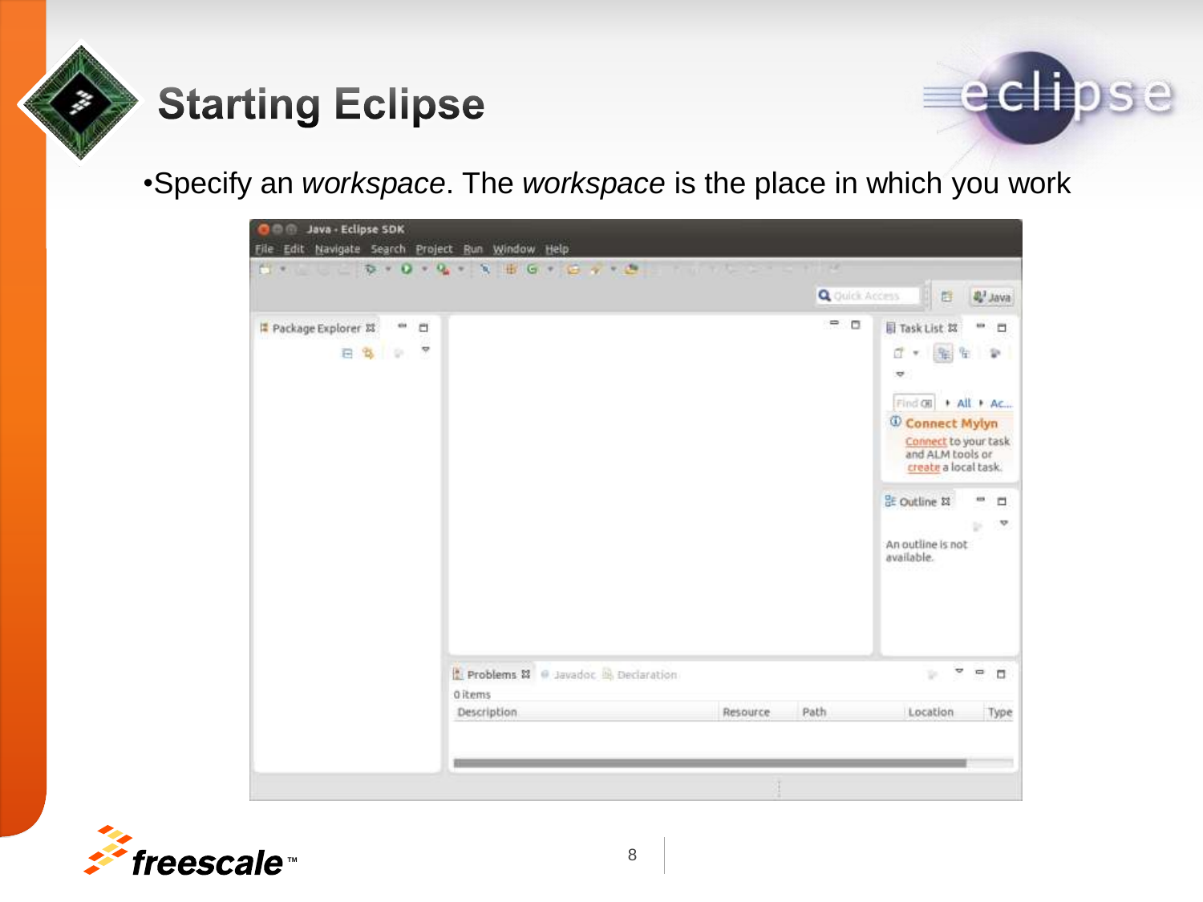

## **Starting Eclipse**



•Specify an *workspace*. The *workspace* is the place in which you work



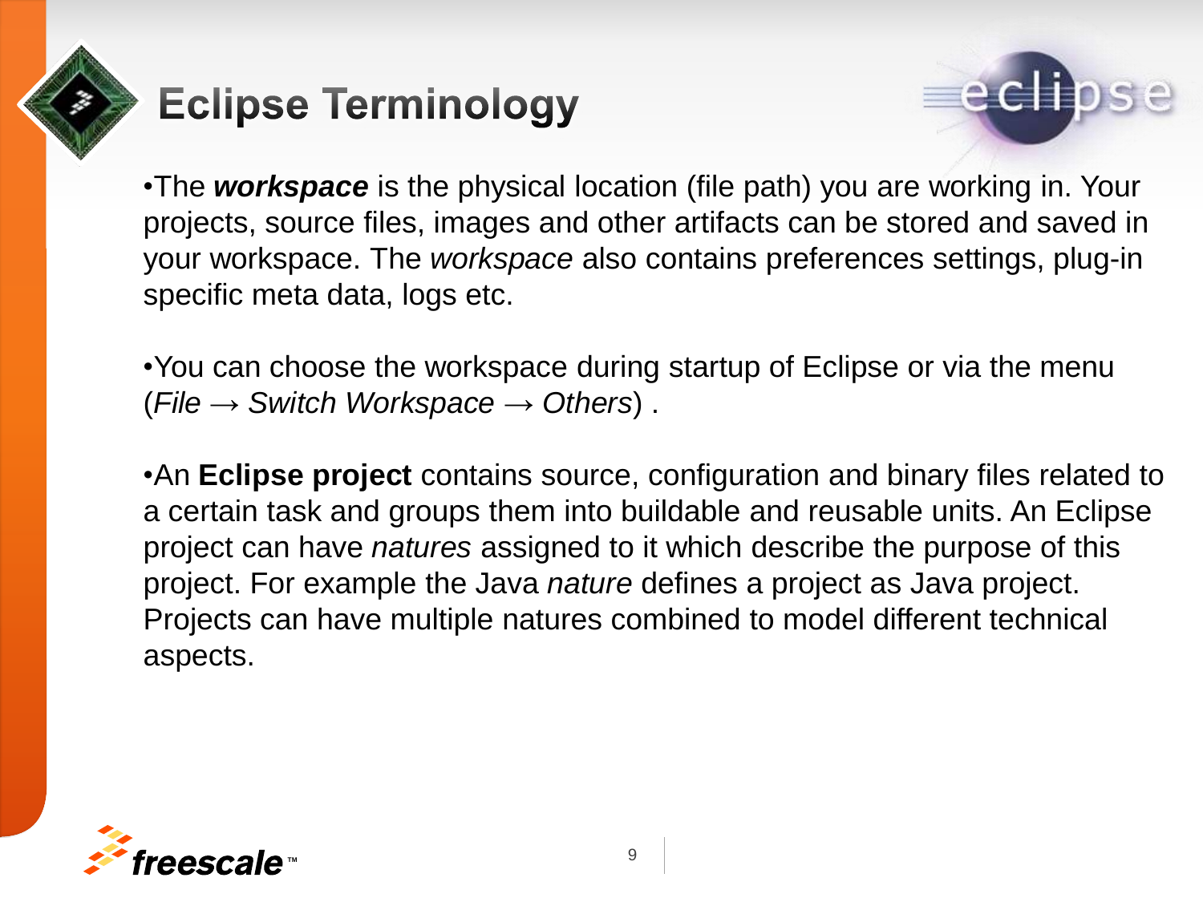

## **Eclipse Terminology**



•The *workspace* is the physical location (file path) you are working in. Your projects, source files, images and other artifacts can be stored and saved in your workspace. The *workspace* also contains preferences settings, plug-in specific meta data, logs etc.

•You can choose the workspace during startup of Eclipse or via the menu (*File* → *Switch Workspace* → *Others*) .

•An **Eclipse project** contains source, configuration and binary files related to a certain task and groups them into buildable and reusable units. An Eclipse project can have *natures* assigned to it which describe the purpose of this project. For example the Java *nature* defines a project as Java project. Projects can have multiple natures combined to model different technical aspects.

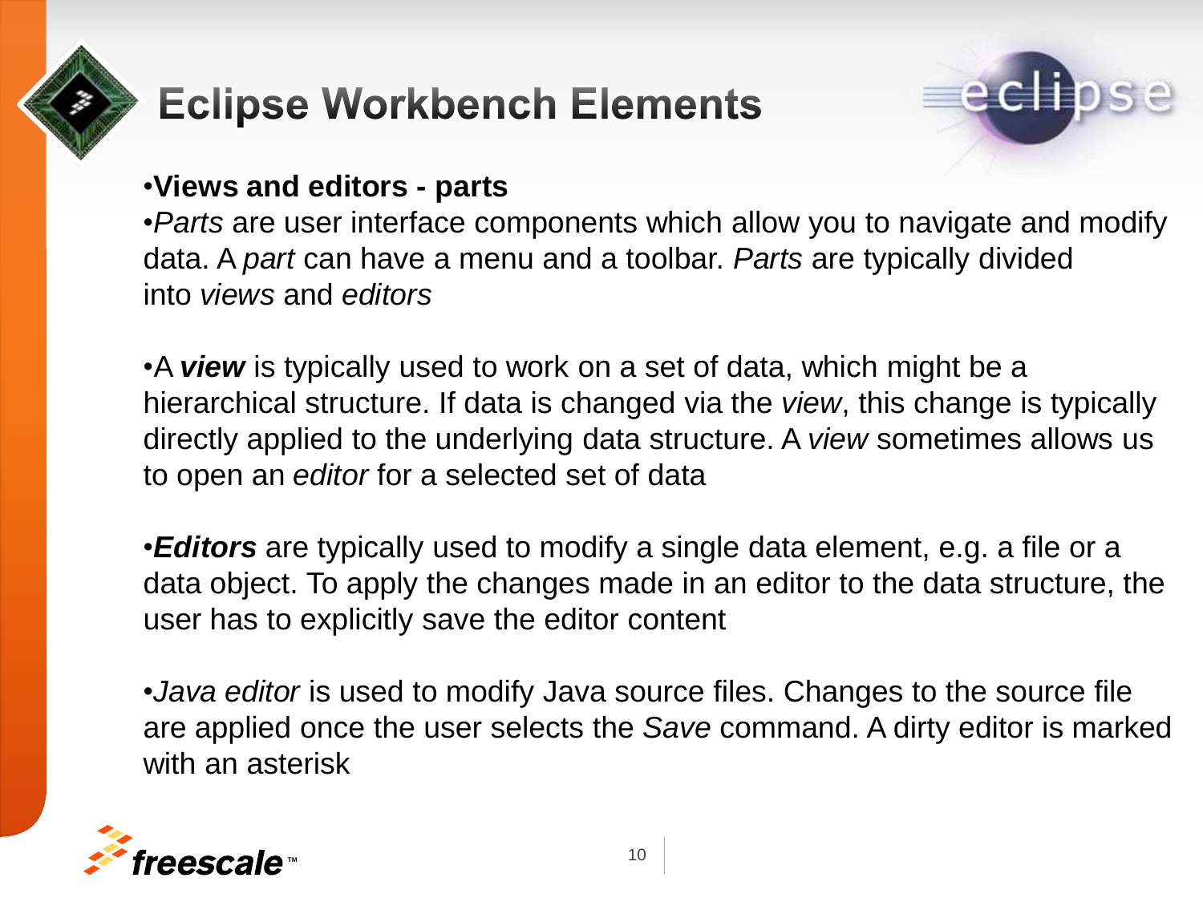

## **Eclipse Workbench Elements**



#### •**Views and editors - parts**

•*Parts* are user interface components which allow you to navigate and modify data. A *part* can have a menu and a toolbar. *Parts* are typically divided into *views* and *editors*

•A *view* is typically used to work on a set of data, which might be a hierarchical structure. If data is changed via the *view*, this change is typically directly applied to the underlying data structure. A *view* sometimes allows us to open an *editor* for a selected set of data

•*Editors* are typically used to modify a single data element, e.g. a file or a data object. To apply the changes made in an editor to the data structure, the user has to explicitly save the editor content

•*Java editor* is used to modify Java source files. Changes to the source file are applied once the user selects the *Save* command. A dirty editor is marked with an asterisk

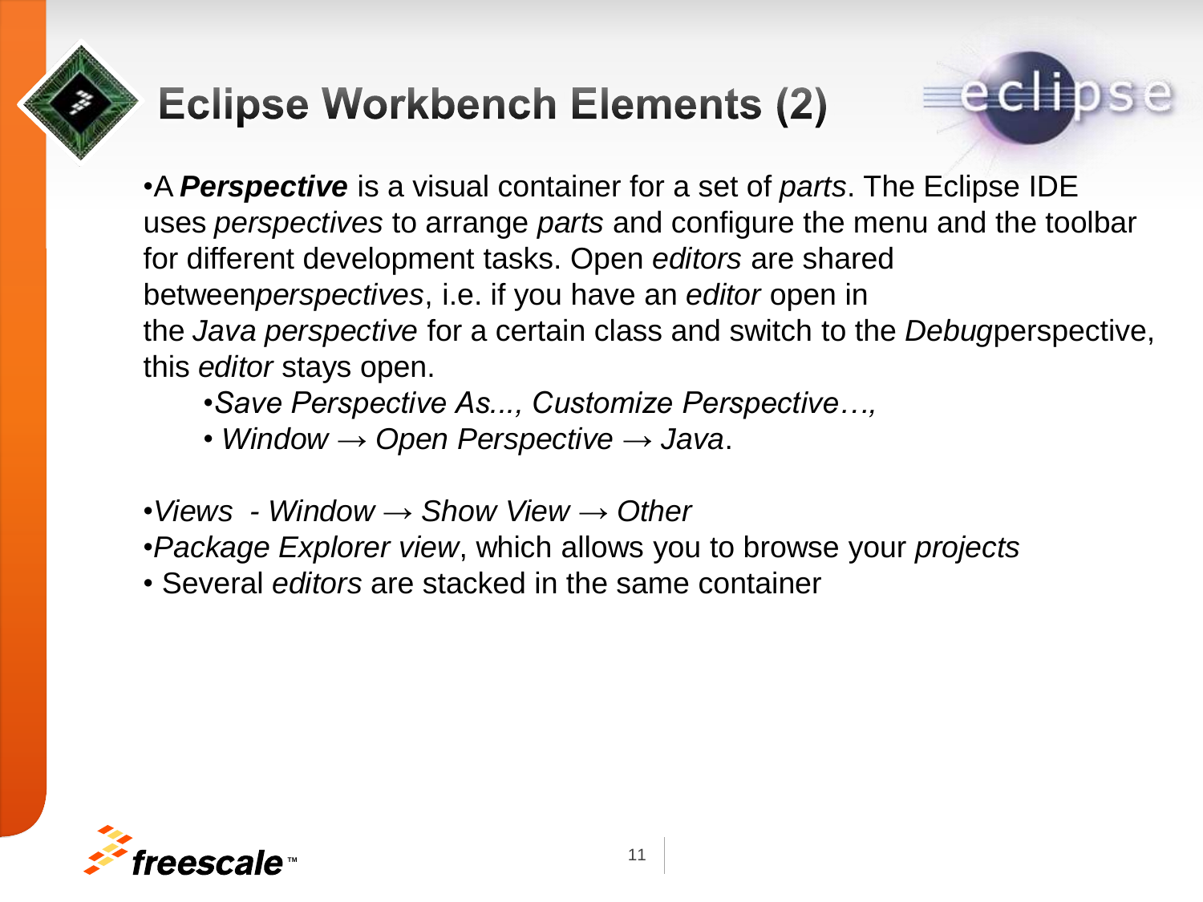# **Eclipse Workbench Elements (2)**



•A *Perspective* is a visual container for a set of *parts*. The Eclipse IDE uses *perspectives* to arrange *parts* and configure the menu and the toolbar for different development tasks. Open *editors* are shared between*perspectives*, i.e. if you have an *editor* open in the *Java perspective* for a certain class and switch to the *Debug*perspective, this *editor* stays open.

- •*Save Perspective As..., Customize Perspective…,*
- *Window* → *Open Perspective* → *Java*.
- •*Views - Window* → *Show View* → *Other*
- •*Package Explorer view*, which allows you to browse your *projects*
- Several *editors* are stacked in the same container

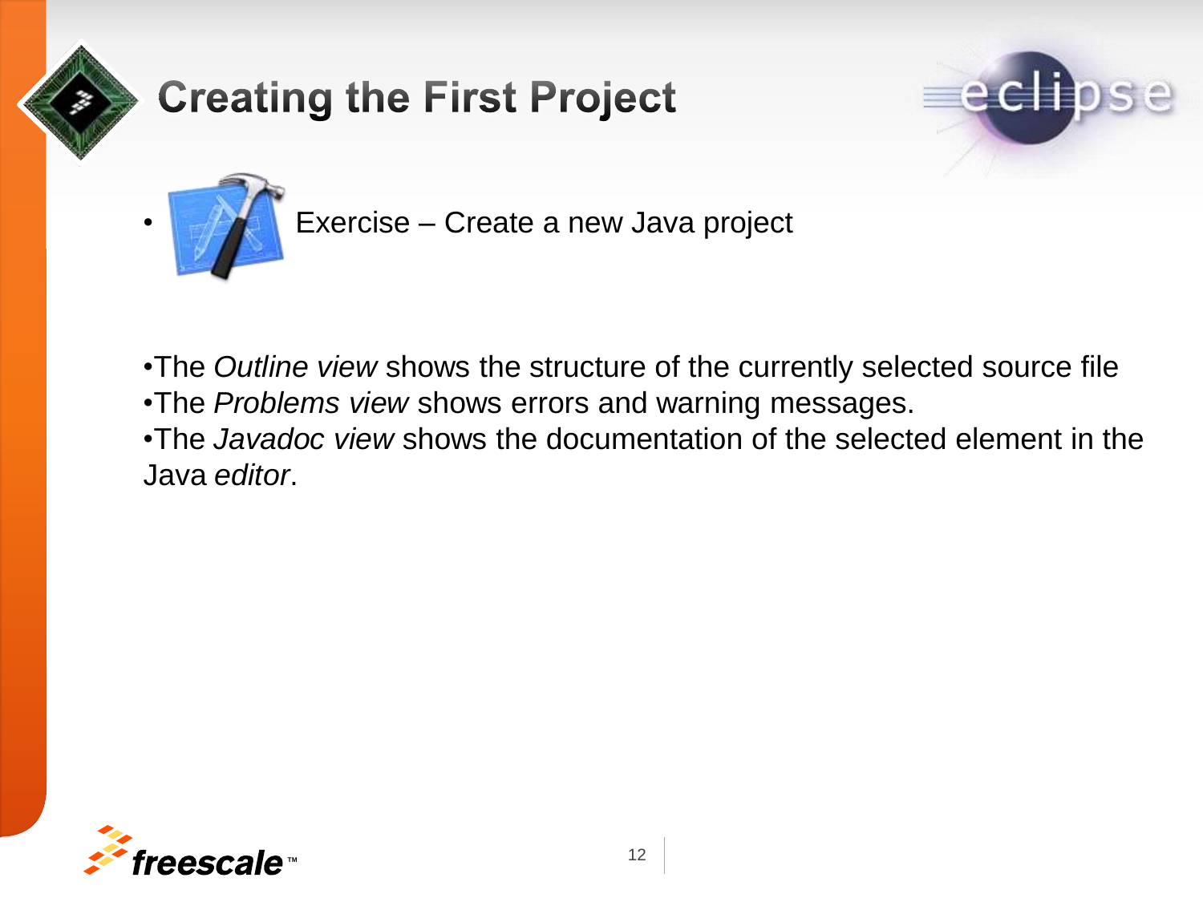

## **Creating the First Project**





• Exercise – Create a new Java project

- •The *Outline view* shows the structure of the currently selected source file •The *Problems view* shows errors and warning messages. •The *Javadoc view* shows the documentation of the selected element in the
- Java *editor*.

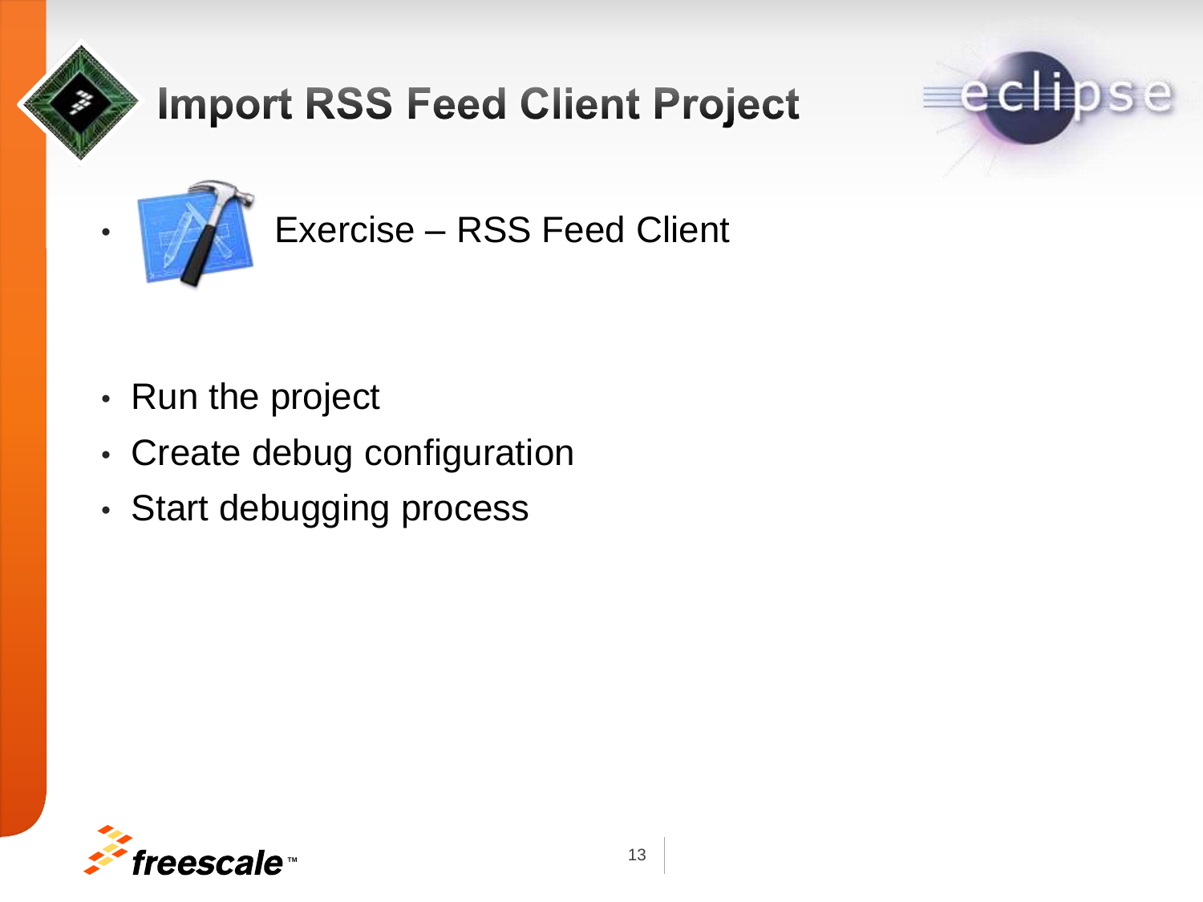

## **Import RSS Feed Client Project**





• Exercise – RSS Feed Client

- Run the project
- Create debug configuration
- Start debugging process

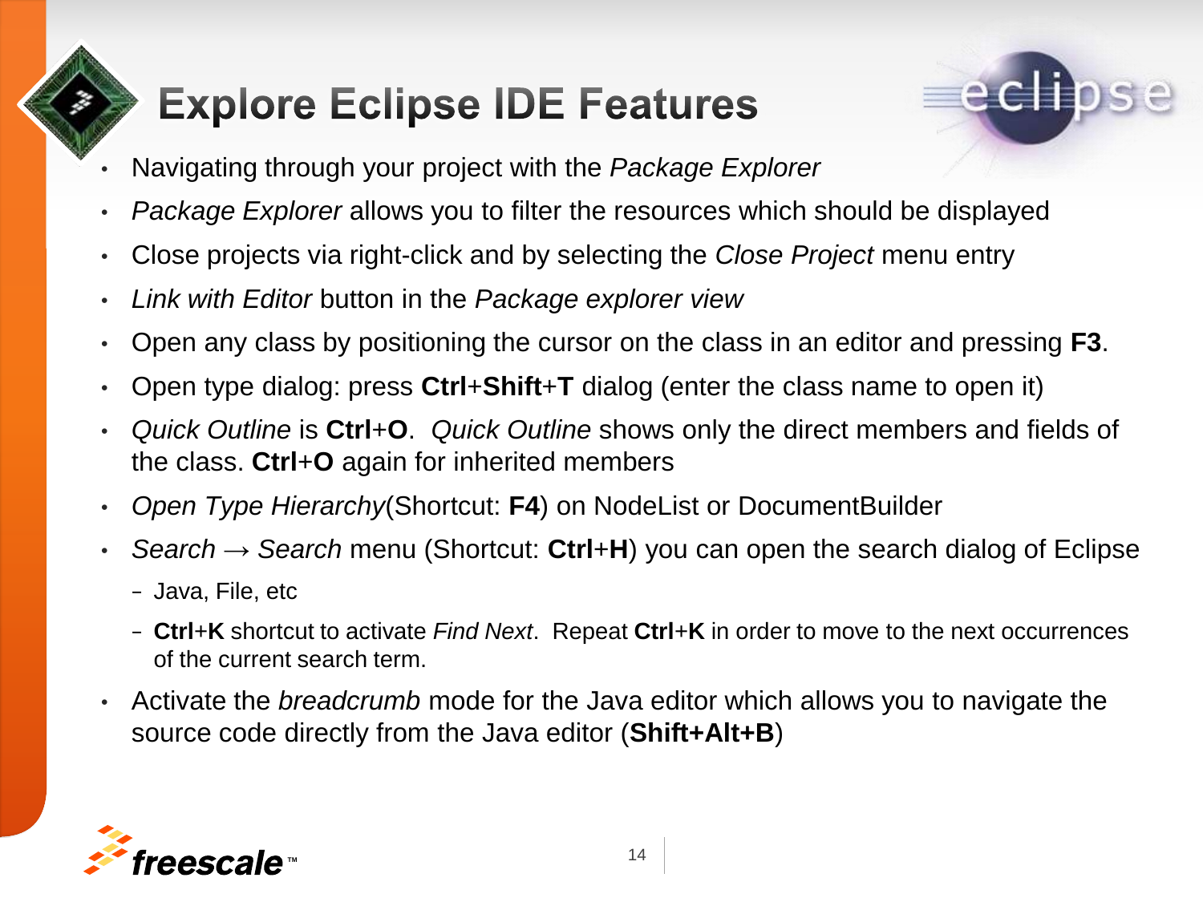# **Explore Eclipse IDE Features**



- Navigating through your project with the *Package Explorer*
- *Package Explorer* allows you to filter the resources which should be displayed
- Close projects via right-click and by selecting the *Close Project* menu entry
- *Link with Editor* button in the *Package explorer view*
- Open any class by positioning the cursor on the class in an editor and pressing **F3**.
- Open type dialog: press **Ctrl**+**Shift**+**T** dialog (enter the class name to open it)
- *Quick Outline* is **Ctrl**+**O**. *Quick Outline* shows only the direct members and fields of the class. **Ctrl**+**O** again for inherited members
- *Open Type Hierarchy*(Shortcut: **F4**) on NodeList or DocumentBuilder
- *Search* → *Search* menu (Shortcut: **Ctrl**+**H**) you can open the search dialog of Eclipse
	- − Java, File, etc
	- − **Ctrl**+**K** shortcut to activate *Find Next*. Repeat **Ctrl**+**K** in order to move to the next occurrences of the current search term.
- Activate the *breadcrumb* mode for the Java editor which allows you to navigate the source code directly from the Java editor (**Shift+Alt+B**)

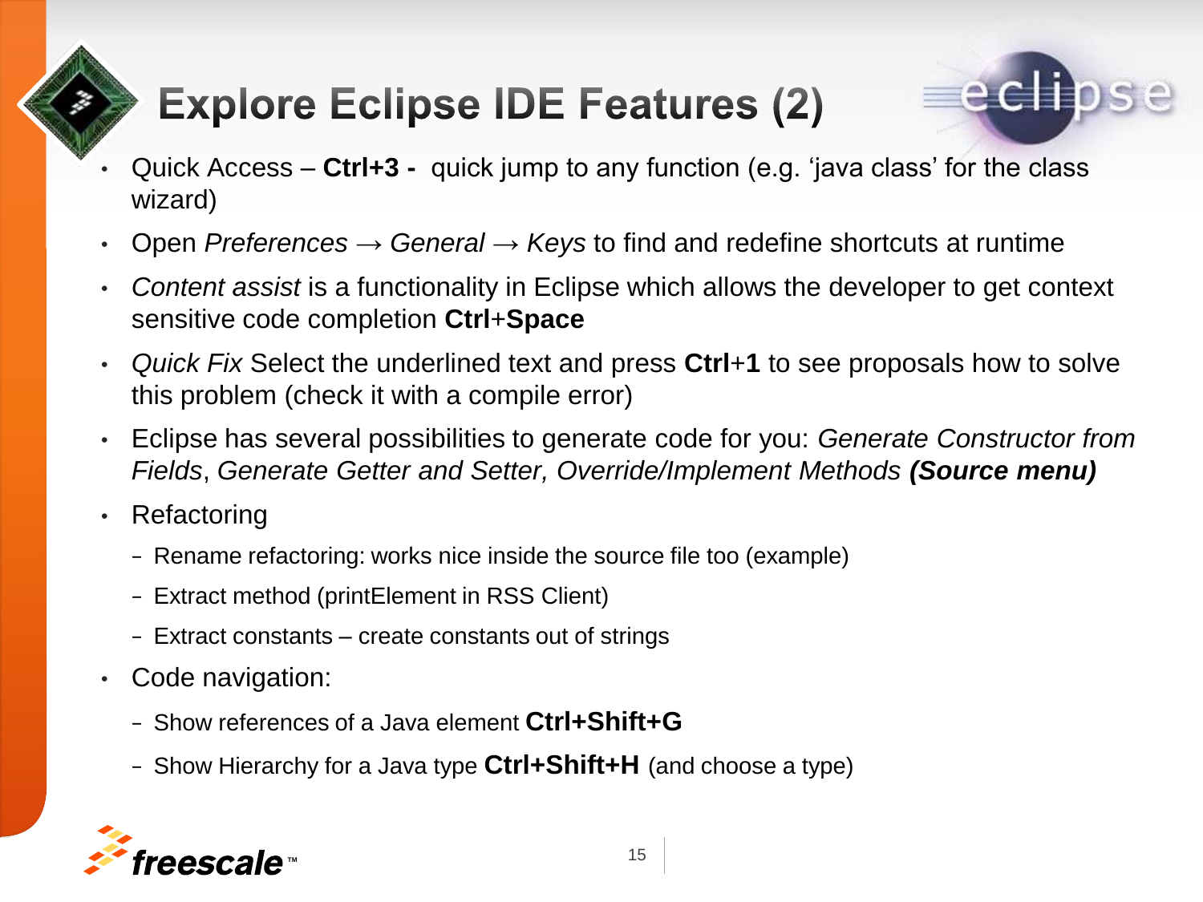# **Explore Eclipse IDE Features (2)**



- Quick Access **Ctrl+3 -** quick jump to any function (e.g. 'java class' for the class wizard)
- Open *Preferences* → *General* → *Keys* to find and redefine shortcuts at runtime
- *Content assist* is a functionality in Eclipse which allows the developer to get context sensitive code completion **Ctrl**+**Space**
- *Quick Fix* Select the underlined text and press **Ctrl**+**1** to see proposals how to solve this problem (check it with a compile error)
- Eclipse has several possibilities to generate code for you: *Generate Constructor from Fields*, *Generate Getter and Setter, Override/Implement Methods (Source menu)*
- Refactoring
	- − Rename refactoring: works nice inside the source file too (example)
	- − Extract method (printElement in RSS Client)
	- − Extract constants create constants out of strings
- Code navigation:
	- <sup>−</sup> Show references of a Java element **Ctrl+Shift+G**
	- <sup>−</sup> Show Hierarchy for a Java type **Ctrl+Shift+H** (and choose a type)

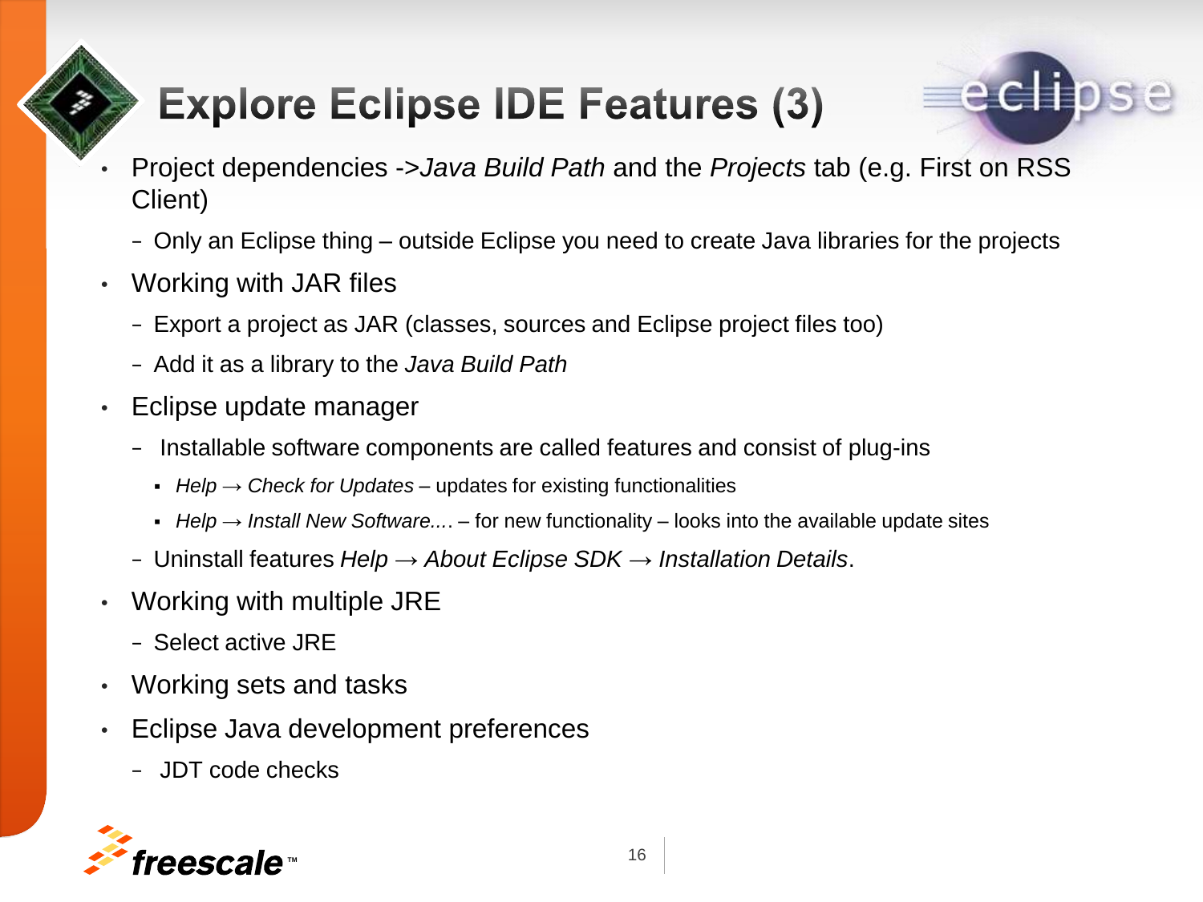# **Explore Eclipse IDE Features (3)**



- Project dependencies ->*Java Build Path* and the *Projects* tab (e.g. First on RSS Client)
	- − Only an Eclipse thing outside Eclipse you need to create Java libraries for the projects
- Working with JAR files
	- − Export a project as JAR (classes, sources and Eclipse project files too)
	- − Add it as a library to the *Java Build Path*
- Eclipse update manager
	- − Installable software components are called features and consist of plug-ins
		- *Help* → *Check for Updates* updates for existing functionalities
		- **Help**  $\rightarrow$  *Install New Software...*. for new functionality looks into the available update sites
	- − Uninstall features *Help* → *About Eclipse SDK* → *Installation Details*.
- Working with multiple JRE
	- − Select active JRE
- Working sets and tasks
- Eclipse Java development preferences
	- − JDT code checks

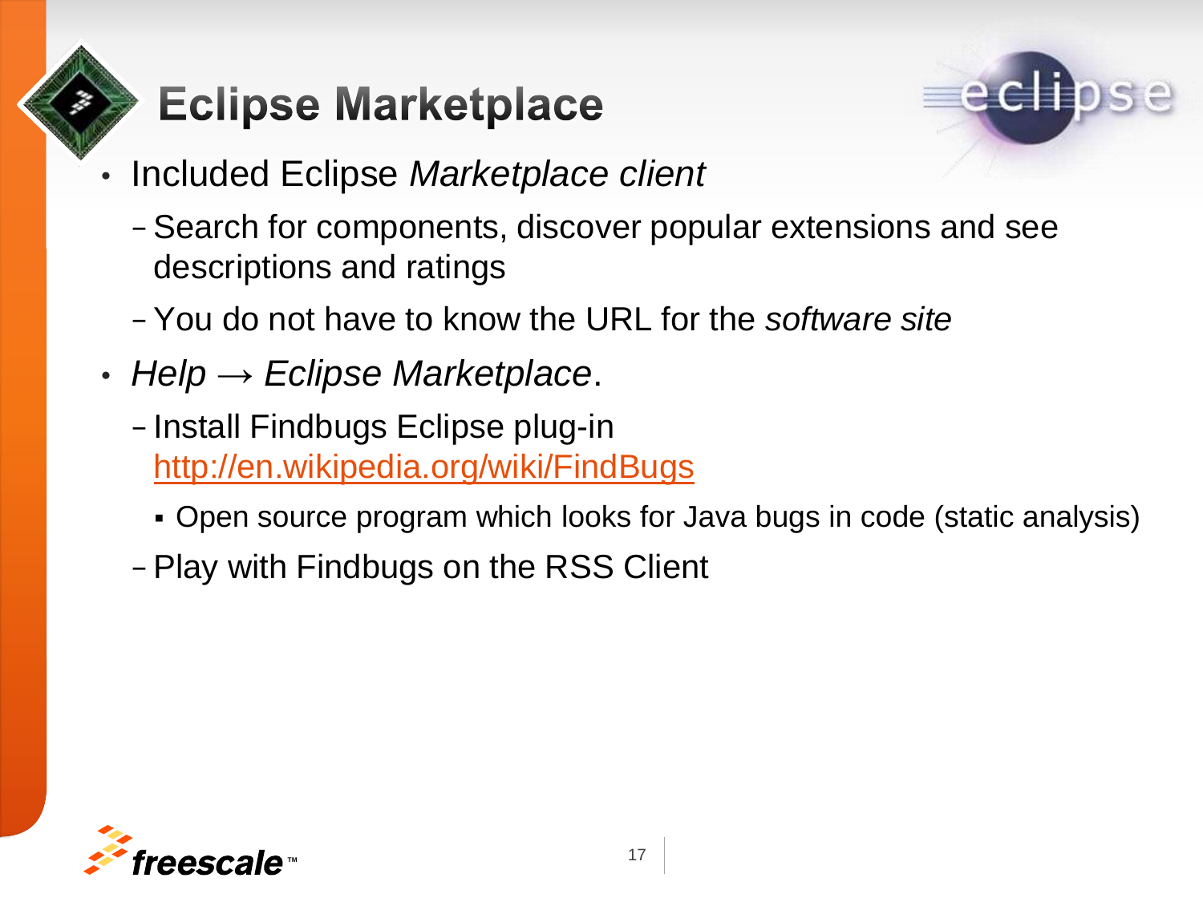# **Eclipse Marketplace**



- Included Eclipse *Marketplace client*
	- − Search for components, discover popular extensions and see descriptions and ratings
	- − You do not have to know the URL for the *software site*
- *Help* → *Eclipse Marketplace*.
	- − Install Findbugs Eclipse plug-in <http://en.wikipedia.org/wiki/FindBugs>
		- Open source program which looks for Java bugs in code (static analysis)
	- − Play with Findbugs on the RSS Client

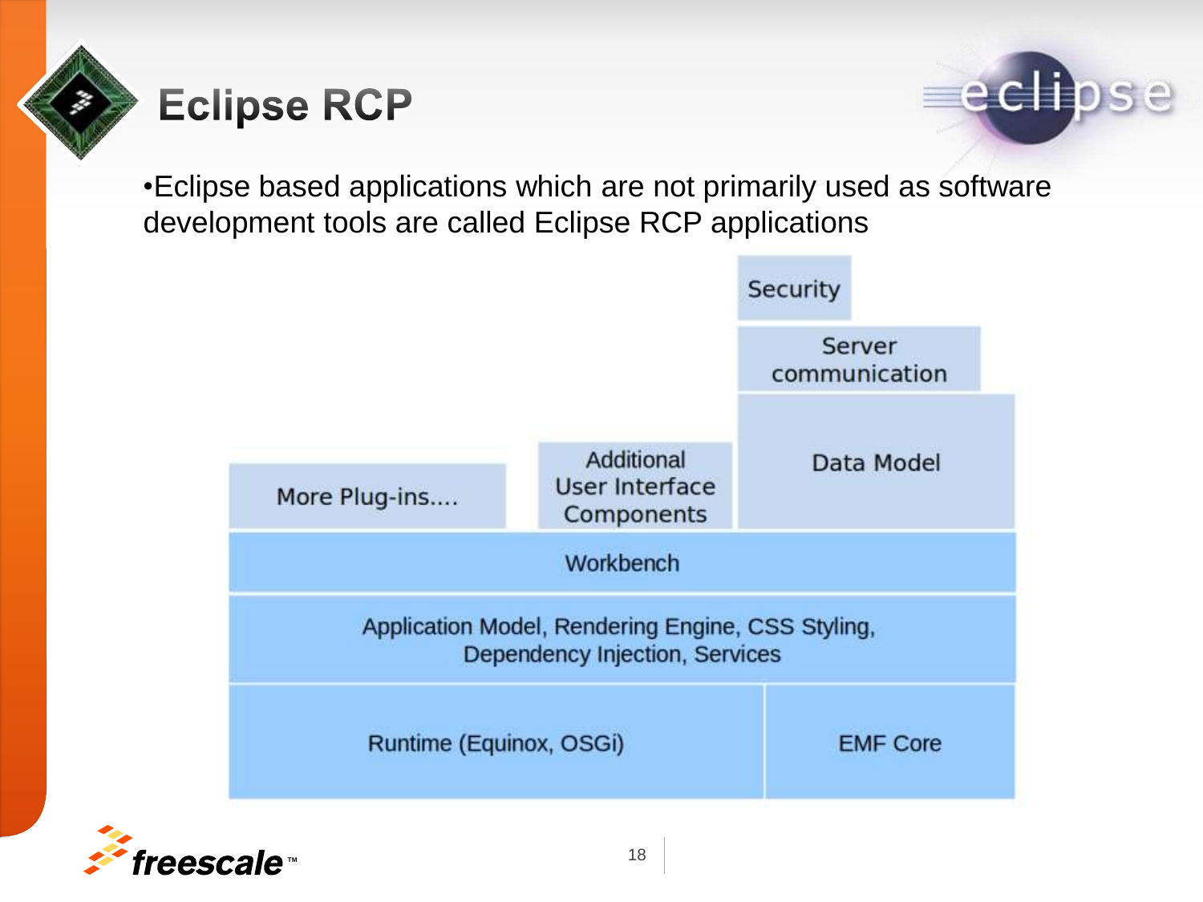





•Eclipse based applications which are not primarily used as software development tools are called Eclipse RCP applications



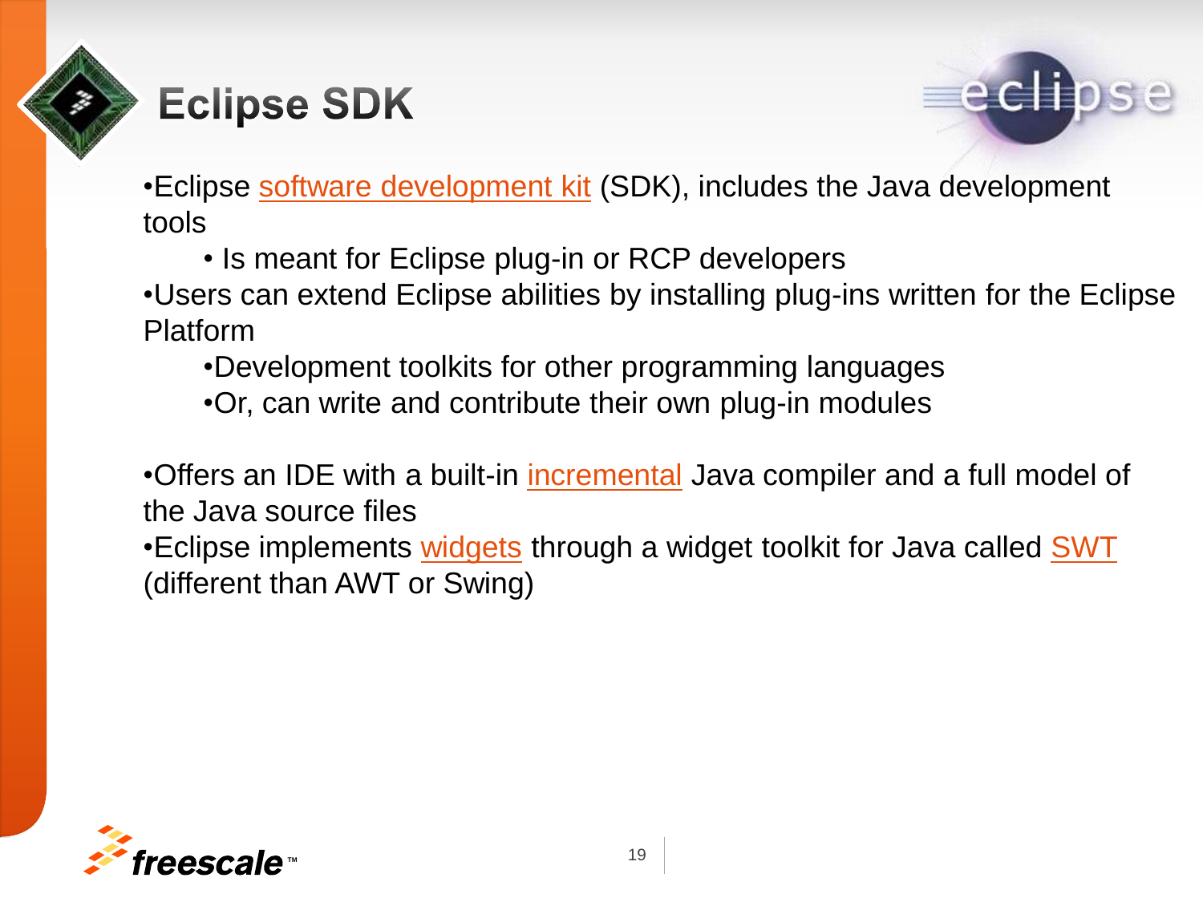

## **Eclipse SDK**



•Eclipse [software development kit](http://en.wikipedia.org/wiki/Software_development_kit) (SDK), includes the Java development tools

• Is meant for Eclipse plug-in or RCP developers

•Users can extend Eclipse abilities by installing plug-ins written for the Eclipse Platform

- •Development toolkits for other programming languages
- •Or, can write and contribute their own plug-in modules

•Offers an IDE with a built-in *[incremental](http://en.wikipedia.org/wiki/Incremental_compiler)* Java compiler and a full model of the Java source files

•Eclipse implements [widgets](http://en.wikipedia.org/wiki/GUI_widget) through a widget toolkit for Java called [SWT](http://en.wikipedia.org/wiki/Standard_Widget_Toolkit) (different than AWT or Swing)